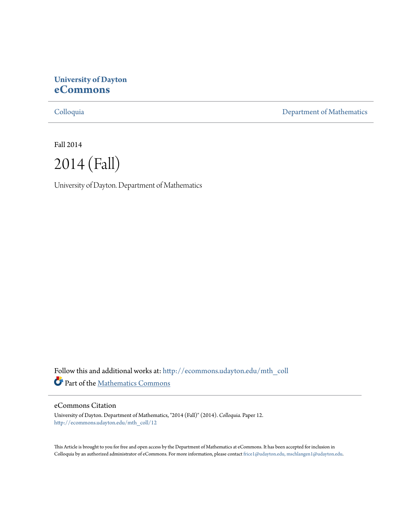# **University of Dayton [eCommons](http://ecommons.udayton.edu?utm_source=ecommons.udayton.edu%2Fmth_coll%2F12&utm_medium=PDF&utm_campaign=PDFCoverPages)**

[Colloquia](http://ecommons.udayton.edu/mth_coll?utm_source=ecommons.udayton.edu%2Fmth_coll%2F12&utm_medium=PDF&utm_campaign=PDFCoverPages) [Department of Mathematics](http://ecommons.udayton.edu/mth?utm_source=ecommons.udayton.edu%2Fmth_coll%2F12&utm_medium=PDF&utm_campaign=PDFCoverPages)

Fall 2014



University of Dayton. Department of Mathematics

Follow this and additional works at: [http://ecommons.udayton.edu/mth\\_coll](http://ecommons.udayton.edu/mth_coll?utm_source=ecommons.udayton.edu%2Fmth_coll%2F12&utm_medium=PDF&utm_campaign=PDFCoverPages) Part of the [Mathematics Commons](http://network.bepress.com/hgg/discipline/174?utm_source=ecommons.udayton.edu%2Fmth_coll%2F12&utm_medium=PDF&utm_campaign=PDFCoverPages)

#### eCommons Citation

University of Dayton. Department of Mathematics, "2014 (Fall)" (2014). *Colloquia.* Paper 12. [http://ecommons.udayton.edu/mth\\_coll/12](http://ecommons.udayton.edu/mth_coll/12?utm_source=ecommons.udayton.edu%2Fmth_coll%2F12&utm_medium=PDF&utm_campaign=PDFCoverPages)

This Article is brought to you for free and open access by the Department of Mathematics at eCommons. It has been accepted for inclusion in Colloquia by an authorized administrator of eCommons. For more information, please contact [frice1@udayton.edu, mschlangen1@udayton.edu.](mailto:frice1@udayton.edu,%20mschlangen1@udayton.edu)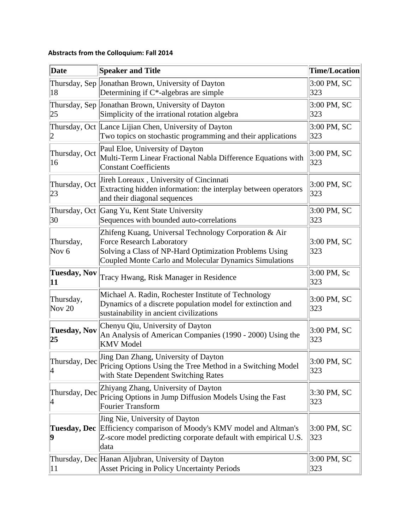# **Abstracts from the Colloquium: Fall 2014**

| Date                          | <b>Speaker and Title</b>                                                                                                                                                                                      | <b>Time/Location</b> |
|-------------------------------|---------------------------------------------------------------------------------------------------------------------------------------------------------------------------------------------------------------|----------------------|
| 18                            | Thursday, Sep Jonathan Brown, University of Dayton<br>Determining if $C^*$ -algebras are simple                                                                                                               | 3:00 PM, SC<br>323   |
| 25                            | Thursday, Sep Jonathan Brown, University of Dayton<br>Simplicity of the irrational rotation algebra                                                                                                           | 3:00 PM, SC<br>323   |
| 2                             | Thursday, Oct Lance Lijian Chen, University of Dayton<br>Two topics on stochastic programming and their applications                                                                                          | 3:00 PM, SC<br>323   |
| Thursday, Oct<br>16           | Paul Eloe, University of Dayton<br>Multi-Term Linear Fractional Nabla Difference Equations with<br><b>Constant Coefficients</b>                                                                               | 3:00 PM, SC<br>323   |
| Thursday, Oct<br>23           | Jireh Loreaux, University of Cincinnati<br>Extracting hidden information: the interplay between operators<br>and their diagonal sequences                                                                     | 3:00 PM, SC<br>323   |
| 30                            | Thursday, Oct Gang Yu, Kent State University<br>Sequences with bounded auto-correlations                                                                                                                      | 3:00 PM, SC<br>323   |
| Thursday,<br>Nov <sub>6</sub> | Zhifeng Kuang, Universal Technology Corporation & Air<br><b>Force Research Laboratory</b><br>Solving a Class of NP-Hard Optimization Problems Using<br>Coupled Monte Carlo and Molecular Dynamics Simulations | 3:00 PM, SC<br>323   |
| <b>Tuesday, Nov</b><br>11     | Tracy Hwang, Risk Manager in Residence                                                                                                                                                                        | 3:00 PM, Sc<br>323   |
| Thursday,<br>Nov $20$         | Michael A. Radin, Rochester Institute of Technology<br>Dynamics of a discrete population model for extinction and<br>sustainability in ancient civilizations                                                  | 3:00 PM, SC<br>323   |
| <b>Tuesday, Nov</b><br>25     | Chenyu Qiu, University of Dayton<br>An Analysis of American Companies (1990 - 2000) Using the<br><b>KMV</b> Model                                                                                             | 3:00 PM, SC<br>323   |
| Thursday, Dec<br>4            | Jing Dan Zhang, University of Dayton<br>Pricing Options Using the Tree Method in a Switching Model<br>with State Dependent Switching Rates                                                                    | 3:00 PM, SC<br>323   |
| Thursday, Dec<br>4            | Zhiyang Zhang, University of Dayton<br>Pricing Options in Jump Diffusion Models Using the Fast<br><b>Fourier Transform</b>                                                                                    | 3:30 PM, SC<br>323   |
| Tuesday, Dec<br>9             | Jing Nie, University of Dayton<br>Efficiency comparison of Moody's KMV model and Altman's<br>Z-score model predicting corporate default with empirical U.S.<br>data                                           | 3:00 PM, SC<br>323   |
| 11                            | Thursday, Dec Hanan Aljubran, University of Dayton<br><b>Asset Pricing in Policy Uncertainty Periods</b>                                                                                                      | 3:00 PM, SC<br>323   |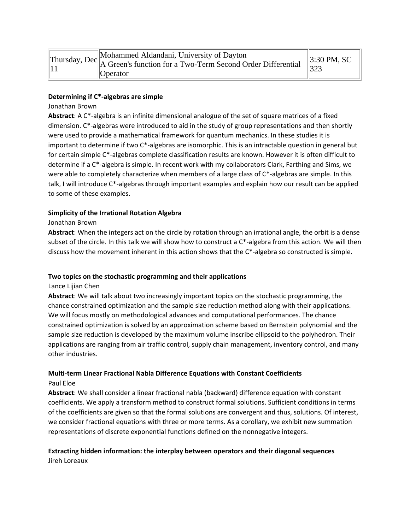|  | Thursday, Dec Mohammed Aldandani, University of Dayton<br>11<br>11 | $\parallel$ 3:30 PM, SC |
|--|--------------------------------------------------------------------|-------------------------|
|  |                                                                    | 323                     |
|  | <b>O</b> perator                                                   |                         |

#### **Determining if C\*‐algebras are simple**

#### Jonathan Brown

**Abstract**: A C\*‐algebra is an infinite dimensional analogue of the set of square matrices of a fixed dimension. C\*‐algebras were introduced to aid in the study of group representations and then shortly were used to provide a mathematical framework for quantum mechanics. In these studies it is important to determine if two C\*‐algebras are isomorphic. This is an intractable question in general but for certain simple C\*-algebras complete classification results are known. However it is often difficult to determine if a C\*‐algebra is simple. In recent work with my collaborators Clark, Farthing and Sims, we were able to completely characterize when members of a large class of C\*-algebras are simple. In this talk, I will introduce C\*-algebras through important examples and explain how our result can be applied to some of these examples.

#### **Simplicity of the Irrational Rotation Algebra**

#### Jonathan Brown

**Abstract**: When the integers act on the circle by rotation through an irrational angle, the orbit is a dense subset of the circle. In this talk we will show how to construct a C\*-algebra from this action. We will then discuss how the movement inherent in this action shows that the C\*‐algebra so constructed is simple.

#### **Two topics on the stochastic programming and their applications**

#### Lance Lijian Chen

**Abstract**: We will talk about two increasingly important topics on the stochastic programming, the chance constrained optimization and the sample size reduction method along with their applications. We will focus mostly on methodological advances and computational performances. The chance constrained optimization is solved by an approximation scheme based on Bernstein polynomial and the sample size reduction is developed by the maximum volume inscribe ellipsoid to the polyhedron. Their applications are ranging from air traffic control, supply chain management, inventory control, and many other industries.

### **Multi‐term Linear Fractional Nabla Difference Equations with Constant Coefficients** Paul Eloe

**Abstract**: We shall consider a linear fractional nabla (backward) difference equation with constant coefficients. We apply a transform method to construct formal solutions. Sufficient conditions in terms of the coefficients are given so that the formal solutions are convergent and thus, solutions. Of interest, we consider fractional equations with three or more terms. As a corollary, we exhibit new summation representations of discrete exponential functions defined on the nonnegative integers.

#### **Extracting hidden information: the interplay between operators and their diagonal sequences** Jireh Loreaux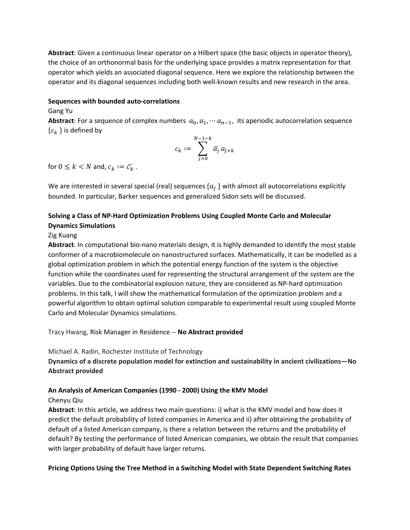**Abstract**: Given a continuous linear operator on a Hilbert space (the basic objects in operator theory), the choice of an orthonormal basis for the underlying space provides a matrix representation for that operator which yields an associated diagonal sequence. Here we explore the relationship between the operator and its diagonal sequences including both well‐known results and new research in the area.

#### **Sequences with bounded auto‐correlations**

### Gang Yu

**Abstract**: For a sequence of complex numbers  $a_0, a_1, \dots, a_{n-1}$ , its aperiodic autocorrelation sequence  ${c_k}$  is defined by

$$
c_k:=\sum_{j=0}^{N-1-k}\overline{a_j}\,a_{j+k}
$$

for  $0 \leq k < N$  and,  $c_k := \overline{c_k}$ .

We are interested in several special (real) sequences  $\{a_i\}$  with almost all autocorrelations explicitly bounded. In particular, Barker sequences and generalized Sidon sets will be discussed.

## **Solving a Class of NP‐Hard Optimization Problems Using Coupled Monte Carlo and Molecular Dynamics Simulations**

### Zig Kuang

**Abstract**. In computational bio‐nano materials design, it is highly demanded to identify the most stable conformer of a macrobiomolecule on nanostructured surfaces. Mathematically, it can be modelled as a global optimization problem in which the potential energy function of the system is the objective function while the coordinates used for representing the structural arrangement of the system are the variables. Due to the combinatorial explosion nature, they are considered as NP‐hard optimization problems. In this talk, I will show the mathematical formulation of the optimization problem and a powerful algorithm to obtain optimal solution comparable to experimental result using coupled Monte Carlo and Molecular Dynamics simulations.

### Tracy Hwang, Risk Manager in Residence ‐‐ **No Abstract provided**

Michael A. Radin, Rochester Institute of Technology

**Dynamics of a discrete population model for extinction and sustainability in ancient civilizations—No Abstract provided**

### **An Analysis of American Companies (1990 ‐ 2000) Using the KMV Model**

#### Chenyu Qiu

**Abstract**: In this article, we address two main questions: i) what is the KMV model and how does it predict the default probability of listed companies in America and ii) after obtaining the probability of default of a listed American company, is there a relation between the returns and the probability of default? By testing the performance of listed American companies, we obtain the result that companies with larger probability of default have larger returns.

### **Pricing Options Using the Tree Method in a Switching Model with State Dependent Switching Rates**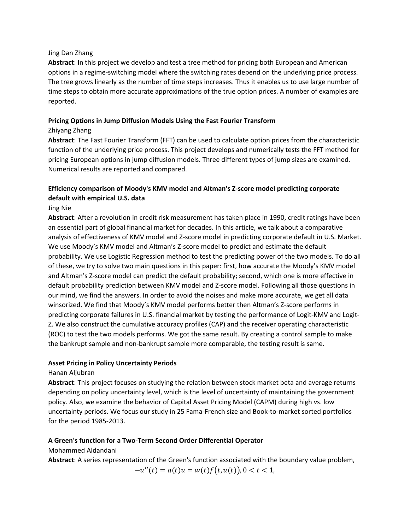#### Jing Dan Zhang

**Abstract**: In this project we develop and test a tree method for pricing both European and American options in a regime‐switching model where the switching rates depend on the underlying price process. The tree grows linearly as the number of time steps increases. Thus it enables us to use large number of time steps to obtain more accurate approximations of the true option prices. A number of examples are reported.

## **Pricing Options in Jump Diffusion Models Using the Fast Fourier Transform**

### Zhiyang Zhang

**Abstract**: The Fast Fourier Transform (FFT) can be used to calculate option prices from the characteristic function of the underlying price process. This project develops and numerically tests the FFT method for pricing European options in jump diffusion models. Three different types of jump sizes are examined. Numerical results are reported and compared.

# **Efficiency comparison of Moody's KMV model and Altman's Z‐score model predicting corporate default with empirical U.S. data**

### Jing Nie

**Abstract**: After a revolution in credit risk measurement has taken place in 1990, credit ratings have been an essential part of global financial market for decades. In this article, we talk about a comparative analysis of effectiveness of KMV model and Z‐score model in predicting corporate default in U.S. Market. We use Moody's KMV model and Altman's Z‐score model to predict and estimate the default probability. We use Logistic Regression method to test the predicting power of the two models. To do all of these, we try to solve two main questions in this paper: first, how accurate the Moody's KMV model and Altman's Z‐score model can predict the default probability; second, which one is more effective in default probability prediction between KMV model and Z‐score model. Following all those questions in our mind, we find the answers. In order to avoid the noises and make more accurate, we get all data winsorized. We find that Moody's KMV model performs better then Altman's Z-score performs in predicting corporate failures in U.S. financial market by testing the performance of Logit‐KMV and Logit‐ Z. We also construct the cumulative accuracy profiles (CAP) and the receiver operating characteristic (ROC) to test the two models performs. We got the same result. By creating a control sample to make the bankrupt sample and non‐bankrupt sample more comparable, the testing result is same.

#### **Asset Pricing in Policy Uncertainty Periods**

### Hanan Aljubran

**Abstract**: This project focuses on studying the relation between stock market beta and average returns depending on policy uncertainty level, which is the level of uncertainty of maintaining the government policy. Also, we examine the behavior of Capital Asset Pricing Model (CAPM) during high vs. low uncertainty periods. We focus our study in 25 Fama‐French size and Book‐to‐market sorted portfolios for the period 1985‐2013.

### **A Green's function for a Two‐Term Second Order Differential Operator**

### Mohammed Aldandani

**Abstract**: A series representation of the Green's function associated with the boundary value problem,

 $-u''(t) = a(t)u = w(t)f(t, u(t)), 0 < t < 1,$